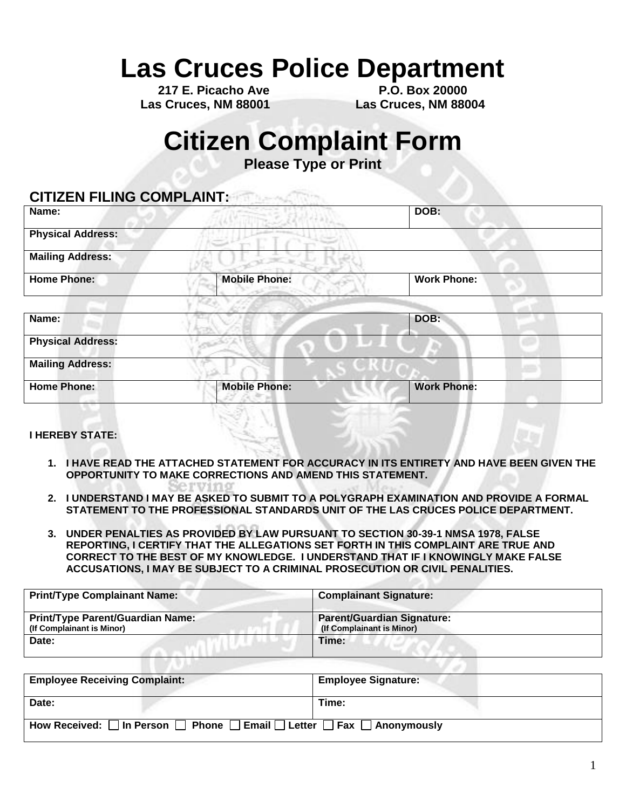# **Las Cruces Police Department**

**Las Cruces, NM 88001 Las Cruces, NM 88004**

**217 E. Picacho Ave P.O. Box 20000**

### **Citizen Complaint Form**

**Please Type or Print** 

### **CITIZEN FILING COMPLAINT:**

| Name:                    |                      | DOB:               |
|--------------------------|----------------------|--------------------|
| <b>Physical Address:</b> |                      |                    |
| <b>Mailing Address:</b>  |                      |                    |
| <b>Home Phone:</b>       | <b>Mobile Phone:</b> | <b>Work Phone:</b> |
|                          |                      |                    |
| Name:                    |                      | DOB:               |
| <b>Physical Address:</b> |                      |                    |
| <b>Mailing Address:</b>  |                      |                    |
| <b>Home Phone:</b>       | <b>Mobile Phone:</b> | <b>Work Phone:</b> |
|                          |                      |                    |

#### **I HEREBY STATE:**

- **1. I HAVE READ THE ATTACHED STATEMENT FOR ACCURACY IN ITS ENTIRETY AND HAVE BEEN GIVEN THE OPPORTUNITY TO MAKE CORRECTIONS AND AMEND THIS STATEMENT.**
- **2. I UNDERSTAND I MAY BE ASKED TO SUBMIT TO A POLYGRAPH EXAMINATION AND PROVIDE A FORMAL STATEMENT TO THE PROFESSIONAL STANDARDS UNIT OF THE LAS CRUCES POLICE DEPARTMENT.**
- **3. UNDER PENALTIES AS PROVIDED BY LAW PURSUANT TO SECTION 30-39-1 NMSA 1978, FALSE REPORTING, I CERTIFY THAT THE ALLEGATIONS SET FORTH IN THIS COMPLAINT ARE TRUE AND CORRECT TO THE BEST OF MY KNOWLEDGE. I UNDERSTAND THAT IF I KNOWINGLY MAKE FALSE ACCUSATIONS, I MAY BE SUBJECT TO A CRIMINAL PROSECUTION OR CIVIL PENALITIES.**

| <b>Print/Type Complainant Name:</b>                                  | <b>Complainant Signature:</b>                                  |  |
|----------------------------------------------------------------------|----------------------------------------------------------------|--|
| <b>Print/Type Parent/Guardian Name:</b><br>(If Complainant is Minor) | <b>Parent/Guardian Signature:</b><br>(If Complainant is Minor) |  |
| Date:                                                                | Time:                                                          |  |

| <b>Employee Receiving Complaint:</b>                                                                 | <b>Employee Signature:</b> |
|------------------------------------------------------------------------------------------------------|----------------------------|
|                                                                                                      |                            |
| Date:                                                                                                | Time:                      |
|                                                                                                      |                            |
| How Received: $\Box$ In Person $\Box$ Phone $\Box$ Email $\Box$ Letter $\Box$ Fax $\Box$ Anonymously |                            |
|                                                                                                      |                            |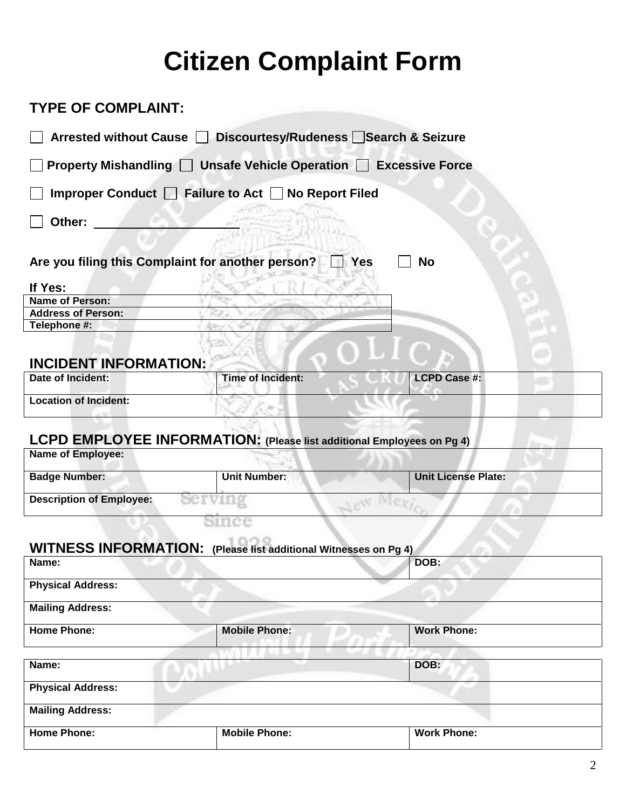# **Citizen Complaint Form**

### **TYPE OF COMPLAINT: Arrested without Cause Discourtesy/Rudeness Search & Seizure Property Mishandling Unsafe Vehicle Operation Excessive Force** Improper Conduct **Failure to Act No Report Filed Other:**  Are you filing this Complaint for another person? **No** Yes **No If Yes: Name of Person: Address of Person: Telephone #: INCIDENT INFORMATION: Date of Incident:** Time of Incident: LCPD Case #: **Location of Incident:**  w **LCPD EMPLOYEE INFORMATION: (Please list additional Employees on Pg 4) Name of Employee: Badge Number: Dullet Unit Number: Unit License Plate: Unit License Plate: Description of Employee:**  Serving New Since **WITNESS INFORMATION: (Please list additional Witnesses on Pg 4) Name:** DOB: **Physical Address: Mailing Address: Home Phone: Mobile Phone: Work Phone: Name: DOB: Physical Address: Mailing Address: Home Phone:** Mobile Phone: **Mobile Phone:** Work Phone: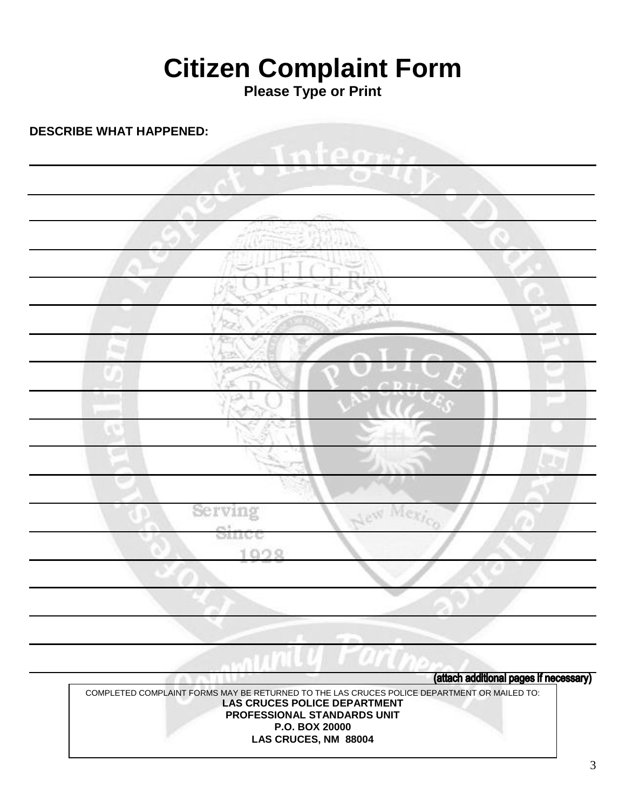# **Citizen Complaint Form**

**Please Type or Print** 

**DESCRIBE WHAT HAPPENED:**

|   | TP.               | Ð<br>٠<br>w                   |                        |               |
|---|-------------------|-------------------------------|------------------------|---------------|
|   |                   | œ.                            |                        |               |
|   |                   |                               |                        |               |
| æ |                   | $\frac{1}{2}$ , $\frac{1}{2}$ |                        |               |
|   | ŦГ<br>Applied     | بلويد                         |                        |               |
|   | €<br><b>Frida</b> |                               |                        | $\mathcal{P}$ |
|   | hJ.               |                               |                        |               |
|   | ó                 |                               | $\sim$<br>$\mathbf{L}$ |               |
|   | m<br>ìÉ.<br>1,41  |                               | CDII                   |               |
| œ |                   |                               |                        |               |
|   |                   |                               |                        |               |
|   |                   | 1775                          | 5                      | b. Far        |
|   |                   |                               |                        |               |
|   | Serving<br>Since  | New Mexico                    |                        |               |
|   | 1928              |                               |                        |               |
|   |                   |                               |                        |               |
|   |                   |                               |                        |               |
|   |                   |                               |                        |               |

(attach additional pages if necessary)

COMPLETED COMPLAINT FORMS MAY BE RETURNED TO THE LAS CRUCES POLICE DEPARTMENT OR MAILED TO: **LAS CRUCES POLICE DEPARTMENT PROFESSIONAL STANDARDS UNIT P.O. BOX 20000 LAS CRUCES, NM 88004**

п